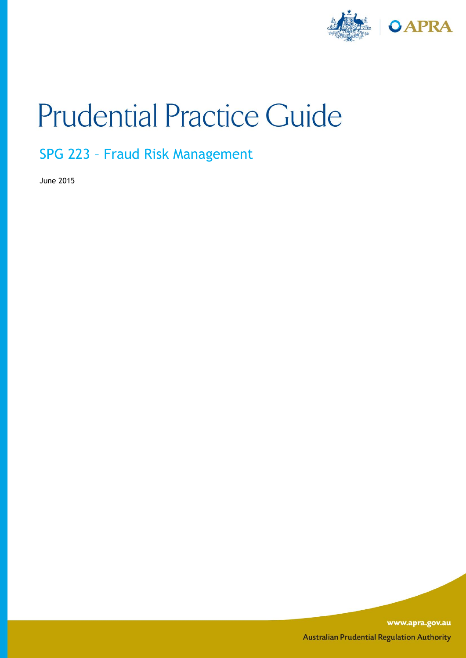

# **Prudential Practice Guide**

SPG 223 – Fraud Risk Management

June 2015

www.apra.gov.au **Australian Prudential Regulation Authority**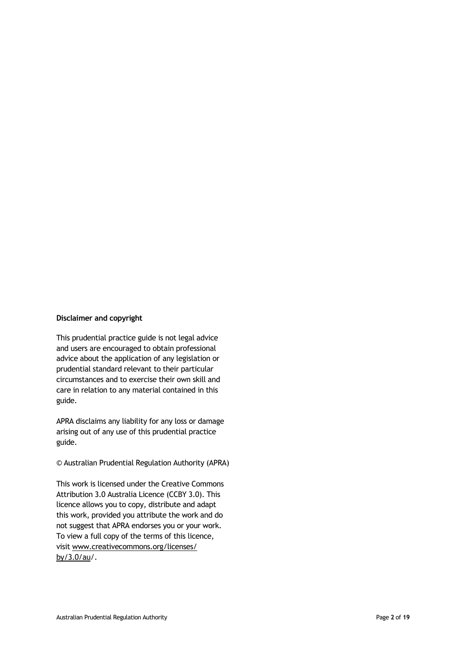#### **Disclaimer and copyright**

This prudential practice guide is not legal advice and users are encouraged to obtain professional advice about the application of any legislation or prudential standard relevant to their particular circumstances and to exercise their own skill and care in relation to any material contained in this guide.

APRA disclaims any liability for any loss or damage arising out of any use of this prudential practice guide.

© Australian Prudential Regulation Authority (APRA)

This work is licensed under the Creative Commons Attribution 3.0 Australia Licence (CCBY 3.0). This licence allows you to copy, distribute and adapt this work, provided you attribute the work and do not suggest that APRA endorses you or your work. To view a full copy of the terms of this licence, visit www.creativecommons.org/licenses/ by/3.0/au/.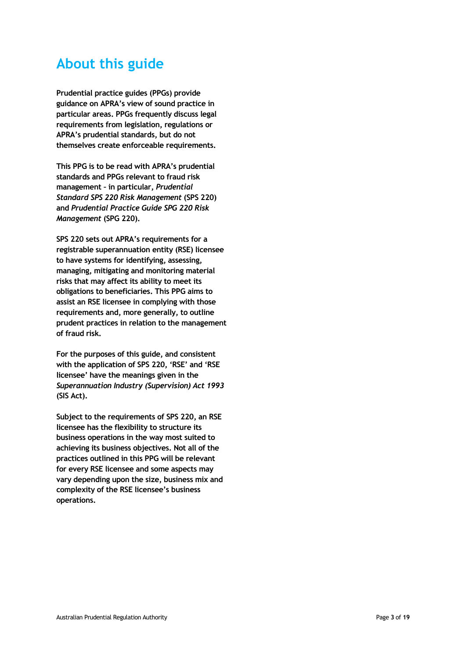# **About this guide**

**Prudential practice guides (PPGs) provide guidance on APRA's view of sound practice in particular areas. PPGs frequently discuss legal requirements from legislation, regulations or APRA's prudential standards, but do not themselves create enforceable requirements.** 

**This PPG is to be read with APRA's prudential standards and PPGs relevant to fraud risk management – in particular,** *Prudential Standard SPS 220 Risk Management* **(SPS 220) and** *Prudential Practice Guide SPG 220 Risk Management* **(SPG 220).** 

**SPS 220 sets out APRA's requirements for a registrable superannuation entity (RSE) licensee to have systems for identifying, assessing, managing, mitigating and monitoring material risks that may affect its ability to meet its obligations to beneficiaries. This PPG aims to assist an RSE licensee in complying with those requirements and, more generally, to outline prudent practices in relation to the management of fraud risk.** 

**For the purposes of this guide, and consistent with the application of SPS 220, 'RSE' and 'RSE licensee' have the meanings given in the**  *Superannuation Industry (Supervision) Act 1993* **(SIS Act).**

**Subject to the requirements of SPS 220, an RSE licensee has the flexibility to structure its business operations in the way most suited to achieving its business objectives. Not all of the practices outlined in this PPG will be relevant for every RSE licensee and some aspects may vary depending upon the size, business mix and complexity of the RSE licensee's business operations.**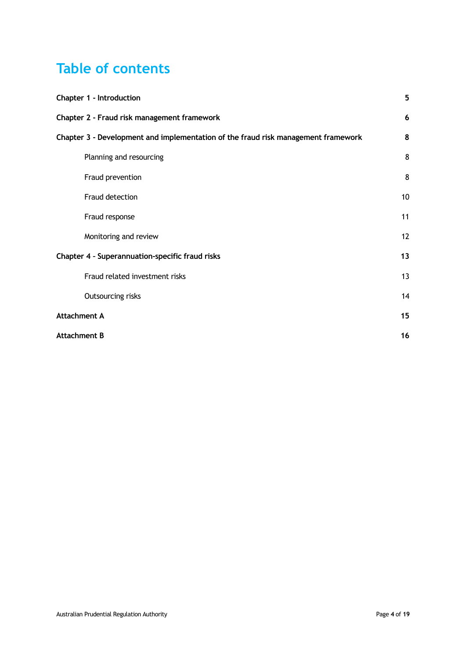# **Table of contents**

| Chapter 1 - Introduction                                                          | 5  |
|-----------------------------------------------------------------------------------|----|
| Chapter 2 - Fraud risk management framework                                       | 6  |
| Chapter 3 - Development and implementation of the fraud risk management framework | 8  |
| Planning and resourcing                                                           | 8  |
| Fraud prevention                                                                  | 8  |
| Fraud detection                                                                   | 10 |
| Fraud response                                                                    | 11 |
| Monitoring and review                                                             | 12 |
| Chapter 4 - Superannuation-specific fraud risks                                   | 13 |
| Fraud related investment risks                                                    | 13 |
| Outsourcing risks                                                                 | 14 |
| <b>Attachment A</b>                                                               | 15 |
| <b>Attachment B</b>                                                               | 16 |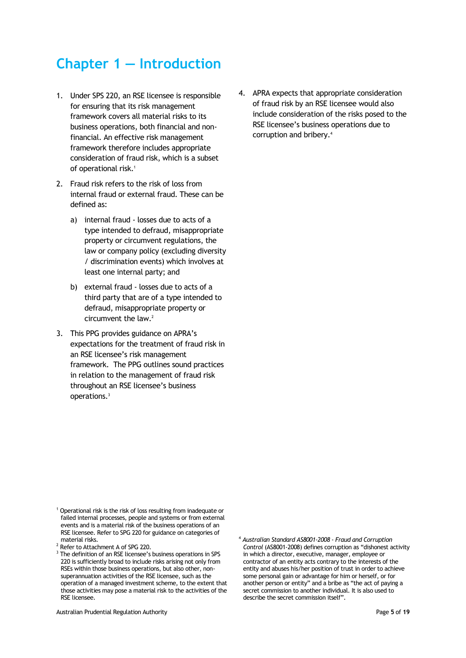# **Chapter 1 — Introduction**

- 1. Under SPS 220, an RSE licensee is responsible for ensuring that its risk management framework covers all material risks to its business operations, both financial and nonfinancial. An effective risk management framework therefore includes appropriate consideration of fraud risk, which is a subset of operational risk.<sup>1</sup>
- 2. Fraud risk refers to the risk of loss from internal fraud or external fraud. These can be defined as:
	- a) internal fraud losses due to acts of a type intended to defraud, misappropriate property or circumvent regulations, the law or company policy (excluding diversity / discrimination events) which involves at least one internal party; and
	- b) external fraud losses due to acts of a third party that are of a type intended to defraud, misappropriate property or circumvent the law.<sup>2</sup>
- 3. This PPG provides guidance on APRA's expectations for the treatment of fraud risk in an RSE licensee's risk management framework. The PPG outlines sound practices in relation to the management of fraud risk throughout an RSE licensee's business operations.<sup>3</sup>

4. APRA expects that appropriate consideration of fraud risk by an RSE licensee would also include consideration of the risks posed to the RSE licensee's business operations due to corruption and bribery.<sup>4</sup>

- <sup>1</sup> Operational risk is the risk of loss resulting from inadequate or failed internal processes, people and systems or from external events and is a material risk of the business operations of an RSE licensee. Refer to SPG 220 for guidance on categories of material risks.
- <sup>2</sup> Refer to Attachment A of SPG 220.
- <sup>3</sup> The definition of an RSE licensee's business operations in SPS 220 is sufficiently broad to include risks arising not only from RSEs within those business operations, but also other, nonsuperannuation activities of the RSE licensee, such as the operation of a managed investment scheme, to the extent that those activities may pose a material risk to the activities of the RSE licensee.

<sup>4</sup> *Australian Standard AS8001-2008 - Fraud and Corruption Control* (AS8001-2008) defines corruption as "dishonest activity in which a director, executive, manager, employee or contractor of an entity acts contrary to the interests of the entity and abuses his/her position of trust in order to achieve some personal gain or advantage for him or herself, or for another person or entity" and a bribe as "the act of paying a secret commission to another individual. It is also used to describe the secret commission itself".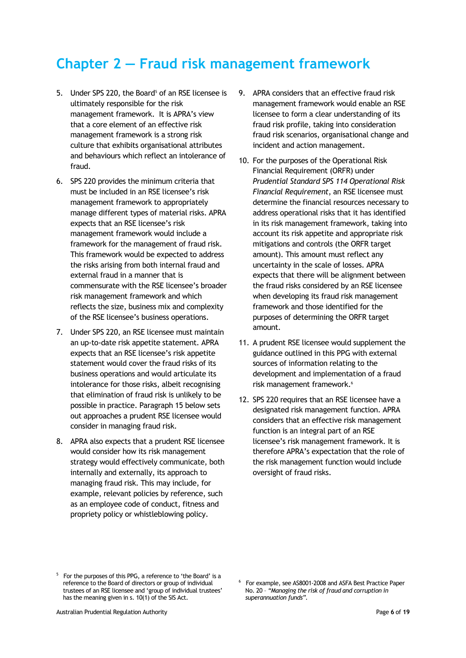# **Chapter 2 — Fraud risk management framework**

- 5. Under SPS 220, the Board<sup>5</sup> of an RSE licensee is ultimately responsible for the risk management framework. It is APRA's view that a core element of an effective risk management framework is a strong risk culture that exhibits organisational attributes and behaviours which reflect an intolerance of fraud.
- 6. SPS 220 provides the minimum criteria that must be included in an RSE licensee's risk management framework to appropriately manage different types of material risks. APRA expects that an RSE licensee's risk management framework would include a framework for the management of fraud risk. This framework would be expected to address the risks arising from both internal fraud and external fraud in a manner that is commensurate with the RSE licensee's broader risk management framework and which reflects the size, business mix and complexity of the RSE licensee's business operations.
- 7. Under SPS 220, an RSE licensee must maintain an up-to-date risk appetite statement. APRA expects that an RSE licensee's risk appetite statement would cover the fraud risks of its business operations and would articulate its intolerance for those risks, albeit recognising that elimination of fraud risk is unlikely to be possible in practice. Paragraph 15 below sets out approaches a prudent RSE licensee would consider in managing fraud risk.
- 8. APRA also expects that a prudent RSE licensee would consider how its risk management strategy would effectively communicate, both internally and externally, its approach to managing fraud risk. This may include, for example, relevant policies by reference, such as an employee code of conduct, fitness and propriety policy or whistleblowing policy.
- 9. APRA considers that an effective fraud risk management framework would enable an RSE licensee to form a clear understanding of its fraud risk profile, taking into consideration fraud risk scenarios, organisational change and incident and action management.
- 10. For the purposes of the Operational Risk Financial Requirement (ORFR) under *Prudential Standard SPS 114 Operational Risk Financial Requirement*, an RSE licensee must determine the financial resources necessary to address operational risks that it has identified in its risk management framework, taking into account its risk appetite and appropriate risk mitigations and controls (the ORFR target amount). This amount must reflect any uncertainty in the scale of losses. APRA expects that there will be alignment between the fraud risks considered by an RSE licensee when developing its fraud risk management framework and those identified for the purposes of determining the ORFR target amount.
- 11. A prudent RSE licensee would supplement the guidance outlined in this PPG with external sources of information relating to the development and implementation of a fraud risk management framework.<sup>6</sup>
- 12. SPS 220 requires that an RSE licensee have a designated risk management function. APRA considers that an effective risk management function is an integral part of an RSE licensee's risk management framework. It is therefore APRA's expectation that the role of the risk management function would include oversight of fraud risks.

<sup>&</sup>lt;sup>5</sup> For the purposes of this PPG, a reference to 'the Board' is a reference to the Board of directors or group of individual trustees of an RSE licensee and 'group of individual trustees' has the meaning given in s. 10(1) of the SIS Act.

<sup>6</sup> For example, see AS8001-2008 and ASFA Best Practice Paper No. 20 – *"Managing the risk of fraud and corruption in superannuation funds".*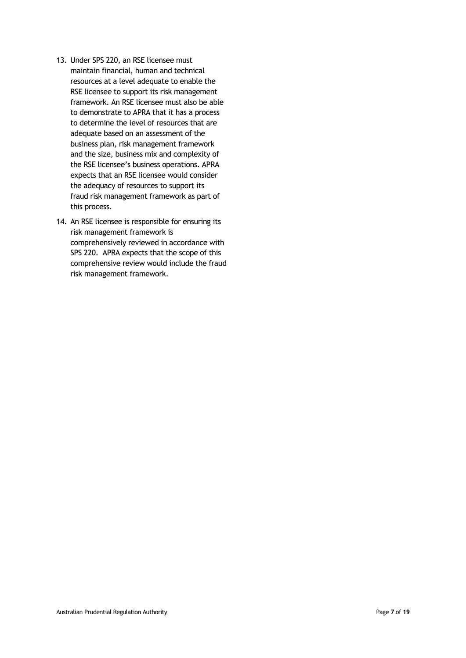- 13. Under SPS 220, an RSE licensee must maintain financial, human and technical resources at a level adequate to enable the RSE licensee to support its risk management framework. An RSE licensee must also be able to demonstrate to APRA that it has a process to determine the level of resources that are adequate based on an assessment of the business plan, risk management framework and the size, business mix and complexity of the RSE licensee's business operations. APRA expects that an RSE licensee would consider the adequacy of resources to support its fraud risk management framework as part of this process.
- 14. An RSE licensee is responsible for ensuring its risk management framework is comprehensively reviewed in accordance with SPS 220. APRA expects that the scope of this comprehensive review would include the fraud risk management framework.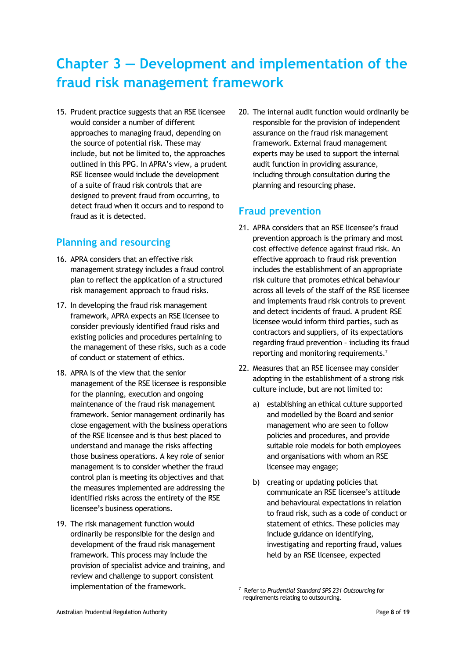# **Chapter 3 — Development and implementation of the fraud risk management framework**

15. Prudent practice suggests that an RSE licensee would consider a number of different approaches to managing fraud, depending on the source of potential risk. These may include, but not be limited to, the approaches outlined in this PPG. In APRA's view, a prudent RSE licensee would include the development of a suite of fraud risk controls that are designed to prevent fraud from occurring, to detect fraud when it occurs and to respond to fraud as it is detected.

## **Planning and resourcing**

- 16. APRA considers that an effective risk management strategy includes a fraud control plan to reflect the application of a structured risk management approach to fraud risks.
- 17. In developing the fraud risk management framework, APRA expects an RSE licensee to consider previously identified fraud risks and existing policies and procedures pertaining to the management of these risks, such as a code of conduct or statement of ethics.
- 18. APRA is of the view that the senior management of the RSE licensee is responsible for the planning, execution and ongoing maintenance of the fraud risk management framework. Senior management ordinarily has close engagement with the business operations of the RSE licensee and is thus best placed to understand and manage the risks affecting those business operations. A key role of senior management is to consider whether the fraud control plan is meeting its objectives and that the measures implemented are addressing the identified risks across the entirety of the RSE licensee's business operations.
- 19. The risk management function would ordinarily be responsible for the design and development of the fraud risk management framework. This process may include the provision of specialist advice and training, and review and challenge to support consistent implementation of the framework.

20. The internal audit function would ordinarily be responsible for the provision of independent assurance on the fraud risk management framework. External fraud management experts may be used to support the internal audit function in providing assurance, including through consultation during the planning and resourcing phase.

## **Fraud prevention**

- 21. APRA considers that an RSE licensee's fraud prevention approach is the primary and most cost effective defence against fraud risk. An effective approach to fraud risk prevention includes the establishment of an appropriate risk culture that promotes ethical behaviour across all levels of the staff of the RSE licensee and implements fraud risk controls to prevent and detect incidents of fraud. A prudent RSE licensee would inform third parties, such as contractors and suppliers, of its expectations regarding fraud prevention – including its fraud reporting and monitoring requirements.<sup>7</sup>
- 22. Measures that an RSE licensee may consider adopting in the establishment of a strong risk culture include, but are not limited to:
	- a) establishing an ethical culture supported and modelled by the Board and senior management who are seen to follow policies and procedures, and provide suitable role models for both employees and organisations with whom an RSE licensee may engage;
	- b) creating or updating policies that communicate an RSE licensee's attitude and behavioural expectations in relation to fraud risk, such as a code of conduct or statement of ethics. These policies may include guidance on identifying, investigating and reporting fraud, values held by an RSE licensee, expected

<sup>7</sup> Refer to *Prudential Standard SPS 231 Outsourcing* for requirements relating to outsourcing.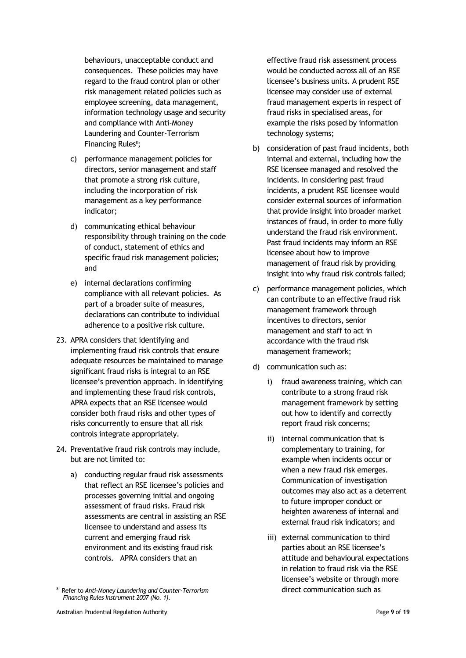behaviours, unacceptable conduct and consequences. These policies may have regard to the fraud control plan or other risk management related policies such as employee screening, data management, information technology usage and security and compliance with Anti-Money Laundering and Counter-Terrorism Financing Rules<sup>8</sup>;

- c) performance management policies for directors, senior management and staff that promote a strong risk culture, including the incorporation of risk management as a key performance indicator;
- d) communicating ethical behaviour responsibility through training on the code of conduct, statement of ethics and specific fraud risk management policies; and
- e) internal declarations confirming compliance with all relevant policies. As part of a broader suite of measures, declarations can contribute to individual adherence to a positive risk culture.
- 23. APRA considers that identifying and implementing fraud risk controls that ensure adequate resources be maintained to manage significant fraud risks is integral to an RSE licensee's prevention approach. In identifying and implementing these fraud risk controls, APRA expects that an RSE licensee would consider both fraud risks and other types of risks concurrently to ensure that all risk controls integrate appropriately.
- 24. Preventative fraud risk controls may include, but are not limited to:
	- a) conducting regular fraud risk assessments that reflect an RSE licensee's policies and processes governing initial and ongoing assessment of fraud risks. Fraud risk assessments are central in assisting an RSE licensee to understand and assess its current and emerging fraud risk environment and its existing fraud risk controls. APRA considers that an

effective fraud risk assessment process would be conducted across all of an RSE licensee's business units. A prudent RSE licensee may consider use of external fraud management experts in respect of fraud risks in specialised areas, for example the risks posed by information technology systems;

- b) consideration of past fraud incidents, both internal and external, including how the RSE licensee managed and resolved the incidents. In considering past fraud incidents, a prudent RSE licensee would consider external sources of information that provide insight into broader market instances of fraud, in order to more fully understand the fraud risk environment. Past fraud incidents may inform an RSE licensee about how to improve management of fraud risk by providing insight into why fraud risk controls failed;
- c) performance management policies, which can contribute to an effective fraud risk management framework through incentives to directors, senior management and staff to act in accordance with the fraud risk management framework;
- d) communication such as:
	- i) fraud awareness training, which can contribute to a strong fraud risk management framework by setting out how to identify and correctly report fraud risk concerns;
	- ii) internal communication that is complementary to training, for example when incidents occur or when a new fraud risk emerges. Communication of investigation outcomes may also act as a deterrent to future improper conduct or heighten awareness of internal and external fraud risk indicators; and
	- iii) external communication to third parties about an RSE licensee's attitude and behavioural expectations in relation to fraud risk via the RSE licensee's website or through more direct communication such as

<sup>8</sup> Refer to *[Anti-Money Laundering and Counter-Terrorism](http://www.comlaw.gov.au/Series/F2007L01000)  [Financing Rules Instrument 2007 \(No. 1\)](http://www.comlaw.gov.au/Series/F2007L01000)*.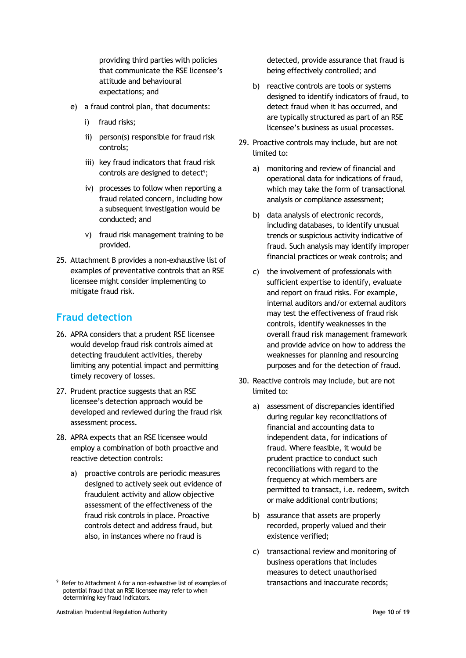providing third parties with policies that communicate the RSE licensee's attitude and behavioural expectations; and

- e) a fraud control plan, that documents:
	- i) fraud risks;
	- ii) person(s) responsible for fraud risk controls;
	- iii) key fraud indicators that fraud risk controls are designed to detect<sup>9</sup>;
	- iv) processes to follow when reporting a fraud related concern, including how a subsequent investigation would be conducted; and
	- v) fraud risk management training to be provided.
- 25. Attachment B provides a non-exhaustive list of examples of preventative controls that an RSE licensee might consider implementing to mitigate fraud risk.

## **Fraud detection**

- 26. APRA considers that a prudent RSE licensee would develop fraud risk controls aimed at detecting fraudulent activities, thereby limiting any potential impact and permitting timely recovery of losses.
- 27. Prudent practice suggests that an RSE licensee's detection approach would be developed and reviewed during the fraud risk assessment process.
- 28. APRA expects that an RSE licensee would employ a combination of both proactive and reactive detection controls:
	- a) proactive controls are periodic measures designed to actively seek out evidence of fraudulent activity and allow objective assessment of the effectiveness of the fraud risk controls in place. Proactive controls detect and address fraud, but also, in instances where no fraud is

detected, provide assurance that fraud is being effectively controlled; and

- b) reactive controls are tools or systems designed to identify indicators of fraud, to detect fraud when it has occurred, and are typically structured as part of an RSE licensee's business as usual processes.
- 29. Proactive controls may include, but are not limited to:
	- a) monitoring and review of financial and operational data for indications of fraud, which may take the form of transactional analysis or compliance assessment;
	- b) data analysis of electronic records, including databases, to identify unusual trends or suspicious activity indicative of fraud. Such analysis may identify improper financial practices or weak controls; and
	- c) the involvement of professionals with sufficient expertise to identify, evaluate and report on fraud risks. For example, internal auditors and/or external auditors may test the effectiveness of fraud risk controls, identify weaknesses in the overall fraud risk management framework and provide advice on how to address the weaknesses for planning and resourcing purposes and for the detection of fraud.
- 30. Reactive controls may include, but are not limited to:
	- a) assessment of discrepancies identified during regular key reconciliations of financial and accounting data to independent data, for indications of fraud. Where feasible, it would be prudent practice to conduct such reconciliations with regard to the frequency at which members are permitted to transact, i.e. redeem, switch or make additional contributions;
	- b) assurance that assets are properly recorded, properly valued and their existence verified;
	- c) transactional review and monitoring of business operations that includes measures to detect unauthorised transactions and inaccurate records;

<sup>&</sup>lt;sup>9</sup> Refer to Attachment A for a non-exhaustive list of examples of potential fraud that an RSE licensee may refer to when determining key fraud indicators.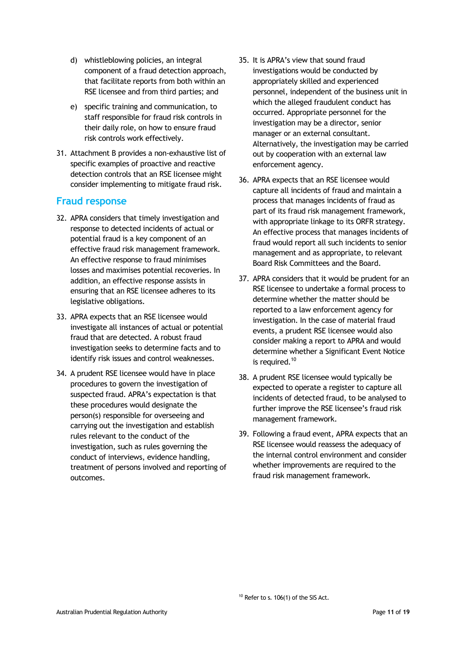- d) whistleblowing policies, an integral component of a fraud detection approach, that facilitate reports from both within an RSE licensee and from third parties; and
- e) specific training and communication, to staff responsible for fraud risk controls in their daily role, on how to ensure fraud risk controls work effectively.
- 31. Attachment B provides a non-exhaustive list of specific examples of proactive and reactive detection controls that an RSE licensee might consider implementing to mitigate fraud risk.

#### **Fraud response**

- 32. APRA considers that timely investigation and response to detected incidents of actual or potential fraud is a key component of an effective fraud risk management framework. An effective response to fraud minimises losses and maximises potential recoveries. In addition, an effective response assists in ensuring that an RSE licensee adheres to its legislative obligations.
- 33. APRA expects that an RSE licensee would investigate all instances of actual or potential fraud that are detected. A robust fraud investigation seeks to determine facts and to identify risk issues and control weaknesses.
- 34. A prudent RSE licensee would have in place procedures to govern the investigation of suspected fraud. APRA's expectation is that these procedures would designate the person(s) responsible for overseeing and carrying out the investigation and establish rules relevant to the conduct of the investigation, such as rules governing the conduct of interviews, evidence handling, treatment of persons involved and reporting of outcomes.
- 35. It is APRA's view that sound fraud investigations would be conducted by appropriately skilled and experienced personnel, independent of the business unit in which the alleged fraudulent conduct has occurred. Appropriate personnel for the investigation may be a director, senior manager or an external consultant. Alternatively, the investigation may be carried out by cooperation with an external law enforcement agency.
- 36. APRA expects that an RSE licensee would capture all incidents of fraud and maintain a process that manages incidents of fraud as part of its fraud risk management framework, with appropriate linkage to its ORFR strategy. An effective process that manages incidents of fraud would report all such incidents to senior management and as appropriate, to relevant Board Risk Committees and the Board.
- 37. APRA considers that it would be prudent for an RSE licensee to undertake a formal process to determine whether the matter should be reported to a law enforcement agency for investigation. In the case of material fraud events, a prudent RSE licensee would also consider making a report to APRA and would determine whether a Significant Event Notice is required.<sup>10</sup>
- 38. A prudent RSE licensee would typically be expected to operate a register to capture all incidents of detected fraud, to be analysed to further improve the RSE licensee's fraud risk management framework.
- 39. Following a fraud event, APRA expects that an RSE licensee would reassess the adequacy of the internal control environment and consider whether improvements are required to the fraud risk management framework.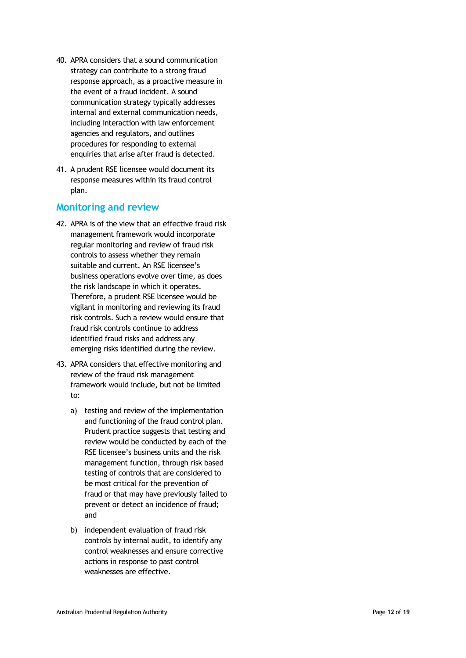- 40. APRA considers that a sound communication strategy can contribute to a strong fraud response approach, as a proactive measure in the event of a fraud incident. A sound communication strategy typically addresses internal and external communication needs, including interaction with law enforcement agencies and regulators, and outlines procedures for responding to external enquiries that arise after fraud is detected.
- 41. A prudent RSE licensee would document its response measures within its fraud control plan.

#### **Monitoring and review**

- 42. APRA is of the view that an effective fraud risk management framework would incorporate regular monitoring and review of fraud risk controls to assess whether they remain suitable and current. An RSE licensee's business operations evolve over time, as does the risk landscape in which it operates. Therefore, a prudent RSE licensee would be vigilant in monitoring and reviewing its fraud risk controls. Such a review would ensure that fraud risk controls continue to address identified fraud risks and address any emerging risks identified during the review.
- 43. APRA considers that effective monitoring and review of the fraud risk management framework woul d include, but not be limited to:
	- a) testing and review of the implementation and functioning of the fraud control plan. Prudent practice suggests that testing and review would be conducted by each of the RSE licensee's business units and the risk management function, through risk based testing of controls that are considered to be most critical for the prevention of fraud or that may have previously failed to prevent or detect an incidence of fraud; and
	- b) independent evaluation of fraud risk controls by internal audit, to identify any control weaknesses and ensure corrective action s in response to past control weaknesses are effective.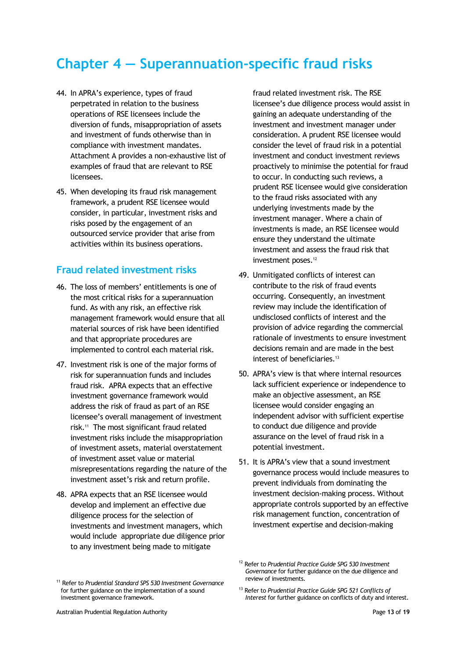# **Chapter 4 — Superannuation-specific fraud risks**

- 44. In APRA's experience, types of fraud perpetrated in relation to the business operations of RSE licensees include the diversion of funds, misappropriation of assets and investment of funds otherwise than in compliance with investment mandates. Attachment A provides a non-exhaustive list of examples of fraud that are relevant to RSE licensees.
- 45. When developing its fraud risk management framework, a prudent RSE licensee would consider, in particular, investment risks and risks posed by the engagement of an outsourced service provider that arise from activities within its business operations.

#### **Fraud related investment risks**

- 46. The loss of members' entitlements is one of the most critical risks for a superannuation fund. As with any risk, an effective risk management framework would ensure that all material sources of risk have been identified and that appropriate procedures are implemented to control each material risk.
- 47. Investment risk is one of the major forms of risk for superannuation funds and includes fraud risk. APRA expects that an effective investment governance framework would address the risk of fraud as part of an RSE licensee's overall management of investment risk.<sup>11</sup> The most significant fraud related investment risks include the misappropriation of investment assets, material overstatement of investment asset value or material misrepresentations regarding the nature of the investment asset's risk and return profile.
- 48. APRA expects that an RSE licensee would develop and implement an effective due diligence process for the selection of investments and investment managers, which would include appropriate due diligence prior to any investment being made to mitigate

fraud related investment risk. The RSE licensee's due diligence process would assist in gaining an adequate understanding of the investment and investment manager under consideration. A prudent RSE licensee would consider the level of fraud risk in a potential investment and conduct investment reviews proactively to minimise the potential for fraud to occur. In conducting such reviews, a prudent RSE licensee would give consideration to the fraud risks associated with any underlying investments made by the investment manager. Where a chain of investments is made, an RSE licensee would ensure they understand the ultimate investment and assess the fraud risk that investment poses.<sup>12</sup>

- 49. Unmitigated conflicts of interest can contribute to the risk of fraud events occurring. Consequently, an investment review may include the identification of undisclosed conflicts of interest and the provision of advice regarding the commercial rationale of investments to ensure investment decisions remain and are made in the best interest of beneficiaries.<sup>13</sup>
- 50. APRA's view is that where internal resources lack sufficient experience or independence to make an objective assessment, an RSE licensee would consider engaging an independent advisor with sufficient expertise to conduct due diligence and provide assurance on the level of fraud risk in a potential investment.
- 51. It is APRA's view that a sound investment governance process would include measures to prevent individuals from dominating the investment decision-making process. Without appropriate controls supported by an effective risk management function, concentration of investment expertise and decision-making

<sup>12</sup> Refer to *Prudential Practice Guide SPG 530 Investment Governance* for further guidance on the due diligence and review of investments.

<sup>11</sup> Refer to *Prudential Standard SPS 530 Investment Governance* for further guidance on the implementation of a sound investment governance framework.

<sup>13</sup> Refer to *Prudential Practice Guide SPG 521 Conflicts of Interest* for further guidance on conflicts of duty and interest.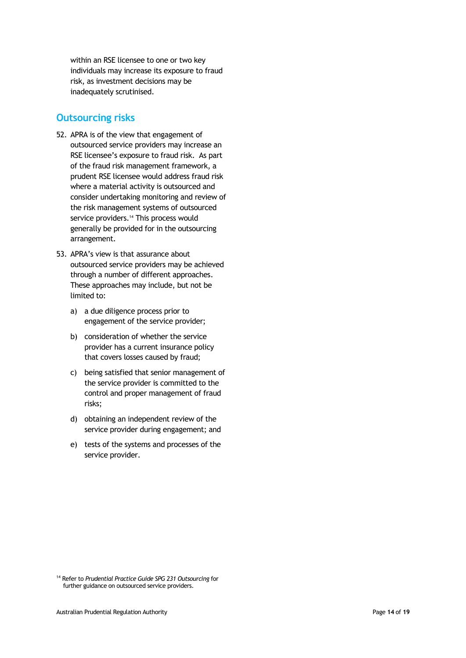within an RSE licensee to one or two key individuals may increase its exposure to fraud risk, as investment decisions may be inadequately scrutinised.

## **Outsourcing risks**

- 52. APRA is of the view that engagement of outsourced service providers may increase an RSE licensee's exposure to fraud risk. As part of the fraud risk management framework, a prudent RSE licensee would address fraud risk where a material activity is outsourced and consider undertaking monitoring and review of the risk management systems of outsourced service providers. <sup>14</sup> This process would generally be provided for in the outsourcing arrangement.
- 53. APRA's view is that assurance about outsourced service providers may be achieved through a number of different approaches. These approaches may include, but not be limited to:
	- a) a due diligence process prior to engagement of the service provider;
	- b) consideration of whether the service provider has a current insurance policy that covers losses caused by fraud;
	- c) being satisfied that senior management of the service provider is committed to the control and proper management of fraud risks;
	- d) obtaining an independent review of the service provider during engagement; and
	- e) tests of the systems and processes of the service provider.

<sup>14</sup> Refer to *Prudential Practice Guide SPG 231 Outsourcing* for further guidance on outsourced service providers.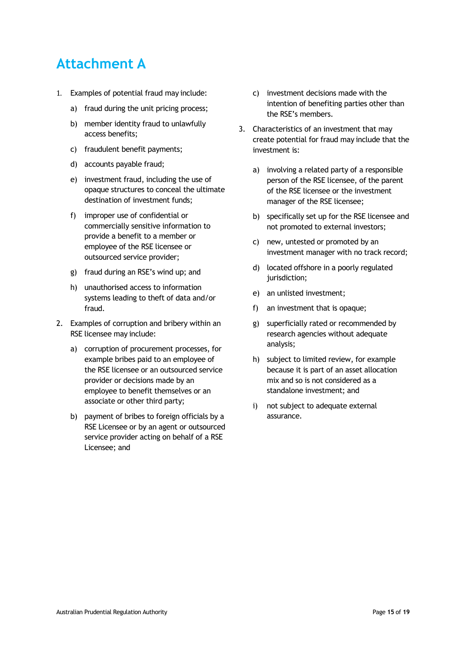# **Attachment A**

- 1. Examples of potential fraud may include:
	- a) fraud during the unit pricing process;
	- b) member identity fraud to unlawfully access benefits;
	- c) fraudulent benefit payments;
	- d) accounts payable fraud;
	- e) investment fraud, including the use of opaque structures to conceal the ultimate destination of investment funds;
	- f) improper use of confidential or commercially sensitive information to provide a benefit to a member or employee of the RSE licensee or outsourced service provider;
	- g) fraud during an RSE's wind up; and
	- h) unauthorised access to information systems leading to theft of data and/or fraud.
- 2. Examples of corruption and bribery within an RSE licensee may include:
	- a) corruption of procurement processes, for example bribes paid to an employee of the RSE licensee or an outsourced service provider or decisions made by an employee to benefit themselves or an associate or other third party;
	- b) payment of bribes to foreign officials by a RSE Licensee or by an agent or outsourced service provider acting on behalf of a RSE Licensee; and
- c) investment decisions made with the intention of benefiting parties other than the RSE's members.
- 3. Characteristics of an investment that may create potential for fraud may include that the investment is:
	- a) involving a related party of a responsible person of the RSE licensee, of the parent of the RSE licensee or the investment manager of the RSE licensee;
	- b) specifically set up for the RSE licensee and not promoted to external investors;
	- c) new, untested or promoted by an investment manager with no track record;
	- d) located offshore in a poorly regulated jurisdiction;
	- e) an unlisted investment;
	- f) an investment that is opaque;
	- g) superficially rated or recommended by research agencies without adequate analysis;
	- h) subject to limited review, for example because it is part of an asset allocation mix and so is not considered as a standalone investment; and
	- i) not subject to adequate external assurance.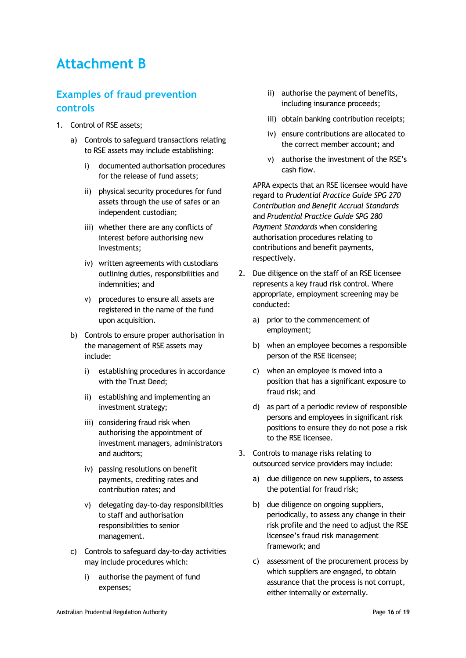## **Attachment B**

## **Examples of fraud prevention controls**

- 1. Control of RSE assets;
	- a) Controls to safeguard transactions relating to RSE assets may include establishing:
		- i) documented authorisation procedures for the release of fund assets;
		- ii) physical security procedures for fund assets through the use of safes or an independent custodian;
		- iii) whether there are any conflicts of interest before authorising new investments;
		- iv) written agreements with custodians outlining duties, responsibilities and indemnities; and
		- v) procedures to ensure all assets are registered in the name of the fund upon acquisition.
	- b) Controls to ensure proper authorisation in the management of RSE assets may include:
		- i) establishing procedures in accordance with the Trust Deed;
		- ii) establishing and implementing an investment strategy;
		- iii) considering fraud risk when authorising the appointment of investment managers, administrators and auditors;
		- iv) passing resolutions on benefit payments, crediting rates and contribution rates; and
		- v) delegating day-to-day responsibilities to staff and authorisation responsibilities to senior management.
	- c) Controls to safeguard day-to-day activities may include procedures which:
		- i) authorise the payment of fund expenses;
- ii) authorise the payment of benefits, including insurance proceeds;
- iii) obtain banking contribution receipts;
- iv) ensure contributions are allocated to the correct member account; and
- v) authorise the investment of the RSE's cash flow.

APRA expects that an RSE licensee would have regard to *Prudential Practice Guide SPG 270 Contribution and Benefit Accrual Standards* and *Prudential Practice Guide SPG 280 Payment Standards* when considering authorisation procedures relating to contributions and benefit payments, respectively.

- 2. Due diligence on the staff of an RSE licensee represents a key fraud risk control. Where appropriate, employment screening may be conducted:
	- a) prior to the commencement of employment;
	- b) when an employee becomes a responsible person of the RSE licensee;
	- c) when an employee is moved into a position that has a significant exposure to fraud risk; and
	- d) as part of a periodic review of responsible persons and employees in significant risk positions to ensure they do not pose a risk to the RSE licensee.
- 3. Controls to manage risks relating to outsourced service providers may include:
	- a) due diligence on new suppliers, to assess the potential for fraud risk;
	- b) due diligence on ongoing suppliers, periodically, to assess any change in their risk profile and the need to adjust the RSE licensee's fraud risk management framework; and
	- c) assessment of the procurement process by which suppliers are engaged, to obtain assurance that the process is not corrupt, either internally or externally.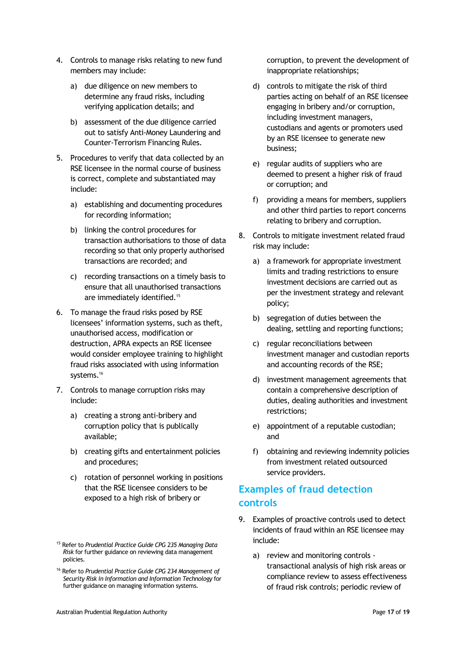- 4. Controls to manage risks relating to new fund members may include:
	- a) due diligence on new members to determine any fraud risks, including verifying application details; and
	- b) assessment of the due diligence carried out to satisfy Anti-Money Laundering and Counter-Terrorism Financing Rules.
- 5. Procedures to verify that data collected by an RSE licensee in the normal course of business is correct, complete and substantiated may include:
	- a) establishing and documenting procedures for recording information;
	- b) linking the control procedures for transaction authorisations to those of data recording so that only properly authorised transactions are recorded; and
	- c) recording transactions on a timely basis to ensure that all unauthorised transactions are immediately identified.<sup>15</sup>
- 6. To manage the fraud risks posed by RSE licensees' information systems, such as theft, unauthorised access, modification or destruction, APRA expects an RSE licensee would consider employee training to highlight fraud risks associated with using information systems.<sup>16</sup>
- 7. Controls to manage corruption risks may include:
	- a) creating a strong anti-bribery and corruption policy that is publically available;
	- b) creating gifts and entertainment policies and procedures;
	- c) rotation of personnel working in positions that the RSE licensee considers to be exposed to a high risk of bribery or

corruption, to prevent the development of inappropriate relationships;

- d) controls to mitigate the risk of third parties acting on behalf of an RSE licensee engaging in bribery and/or corruption, including investment managers, custodians and agents or promoters used by an RSE licensee to generate new business;
- e) regular audits of suppliers who are deemed to present a higher risk of fraud or corruption; and
- f) providing a means for members, suppliers and other third parties to report concerns relating to bribery and corruption.
- 8. Controls to mitigate investment related fraud risk may include:
	- a) a framework for appropriate investment limits and trading restrictions to ensure investment decisions are carried out as per the investment strategy and relevant policy;
	- b) segregation of duties between the dealing, settling and reporting functions;
	- c) regular reconciliations between investment manager and custodian reports and accounting records of the RSE;
	- d) investment management agreements that contain a comprehensive description of duties, dealing authorities and investment restrictions;
	- e) appointment of a reputable custodian; and
	- f) obtaining and reviewing indemnity policies from investment related outsourced service providers.

## **Examples of fraud detection controls**

- 9. Examples of proactive controls used to detect incidents of fraud within an RSE licensee may include:
	- a) review and monitoring controls transactional analysis of high risk areas or compliance review to assess effectiveness of fraud risk controls; periodic review of

<sup>15</sup> Refer to *Prudential Practice Guide CPG 235 Managing Data Risk* for further guidance on reviewing data management policies.

<sup>16</sup> Refer to *Prudential Practice Guide CPG 234 Management of Security Risk in Information and Information Technology* for further guidance on managing information systems.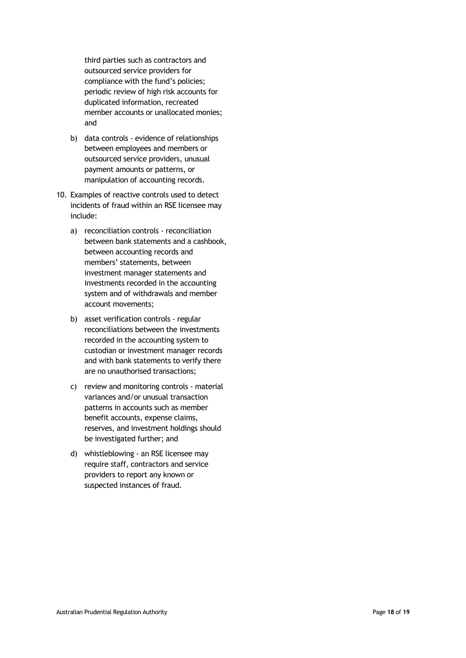third parties such as contractors and outsourced service providers for compliance with the fund's policies; periodic review of high risk accounts for duplicated information, recreated member accounts or unallocated monies; and

- b) data controls evidence of relationships between employees and members or outsourced service providers, unusual payment amounts or patterns, or manipulation of accounting records.
- 10. Examples of reactive controls used to detect incidents of fraud within an RSE licensee may include:
	- a) reconciliation controls reconciliation between bank statements and a cashbook, between accounting records and members' statements, between investment manager statements and investments recorded in the accounting system and of withdrawals and member account movements;
	- b) asset verification controls regular reconciliations between the investments recorded in the accounting system to custodian or investment manager records and with bank statements to verify there are no unauthorised transactions;
	- c) review and monitoring controls material variances and/or unusual transaction patterns in accounts such as member benefit accounts, expense claims, reserves, and investment holdings should be investigated further; and
	- d) whistleblowing an RSE licensee may require staff, contractors and service providers to report any known or suspected instances of fraud.